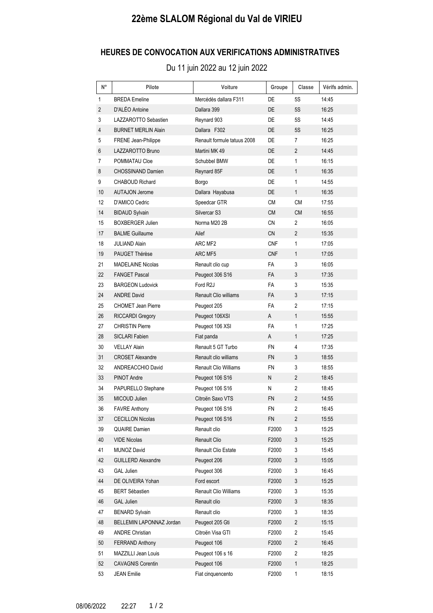## **22ème SLALOM Régional du Val de VIRIEU**

## **HEURES DE CONVOCATION AUX VERIFICATIONS ADMINISTRATIVES**

**N° Pilote Voiture Groupe Classe Vérifs admin.** 1 BREDA Emeline **Mercédès dallara F311** DE 5S 14:45 2 D'ALÉO Antoine Dallara 399 DE 5S 16:25 3 LAZZAROTTO Sebastien Reynard 903 DE 5S 14:45 4 BURNET MERLIN Alain Dallara F302 DE 5S 16:25 5 FRENE Jean-Philippe Renault formule tatuus 2008 DE 7 16:25 6 LAZZAROTTO Bruno Martini MK 49 DE 2 14:45 7 POMMATAU Cloe Schubbel BMW DE 1 16:15 8 CHOSSINAND Damien Reynard 85F DE 1 16:35 9 CHABOUD Richard Borgo DE 1 14:55 10 AUTAJON Jerome Dallara Hayabusa DE 1 16:35 12 D'AMICO Cedric COM Speedcar GTR CM CM 17:55 14 BIDAUD Sylvain Silvercar S3 CM CM 16:55 15 BOXBERGER Julien Norma M20 2B CN 2 16:05 17 BALME Guillaume **Ailef CON** CN 2 15:35 18 JULIAND Alain **ARC MF2** CNF 1 17:05 19 PAUGET Thérèse ARC ME5 CNF 1 17:05 21 MADELAINE Nicolas Renault clio cup FA 3 16:05 22 FANGET Pascal Peugeot 306 S16 FA 3 17:35 23 BARGEON Ludovick Ford R2J FA 3 15:35 24 ANDRE David **Renault Clio williams** FA 3 17:15 25 CHOMET Jean Pierre **Peugeot 205** FA 2 17:15 26 RICCARDI Gregory **Peugeot 106XSI** A 1 15:55 27 CHRISTIN Pierre Peugeot 106 XSI FA 1 17:25 28 SICLARI Fabien **Fiat panda** A 1 17:25 30 VELLAY Alain **Renault 5 GT Turbo** FN 4 17:35 31 CROSET Alexandre Renault clio williams FN 3 18:55 32 ANDREACCHIO David **Renault Clio Williams** FN 3 18:55 33 PINOT Andre Peugeot 106 S16 N 2 18:45 34 PAPURELLO Stephane Peugeot 106 S16 N 2 18:45 35 MICOUD Julien Citroën Saxo VTS FN 2 14:55 36 FAVRE Anthony **Peugeot 106 S16** FN 2 16:45 37 CECILLON Nicolas **Peugeot 106 S16** FN 2 15:55 39 QUAIRE Damien Renault clio F2000 3 15:25 40 VIDE Nicolas Renault Clio F2000 3 15:25 41 MUNOZ David **Renault Clio Estate** F2000 3 15:45 42 GUILLERD Alexandre Peugeot 206 F2000 3 15:05 43 GAL Julien Peugeot 306 F2000 3 16:45 44 DE OLIVEIRA Yohan Ford escort FOO0 3 15:25 45 BERT Sébastien **Renault Clio Williams** F2000 3 15:35 46 GAL Julien Renault clio F2000 3 18:35 47 BENARD Sylvain Renault clio F2000 3 18:35 48 BELLEMIN LAPONNAZ Jordan Peugeot 205 Gti F2000 2 15:15 49 ANDRE Christian Citroën Visa GTI F2000 2 15:45 50 FERRAND Anthony Peugeot 106 F2000 2 16:45 51 MAZZILLI Jean Louis Peugeot 106 s 16 F2000 2 18:25 52 CAVAGNIS Corentin **CAVAGNIS Corentin** Peugeot 106 **F2000** 1 18:25 53 JEAN Emilie Fiat cinquencento F2000 1 18:15

Du 11 juin 2022 au 12 juin 2022